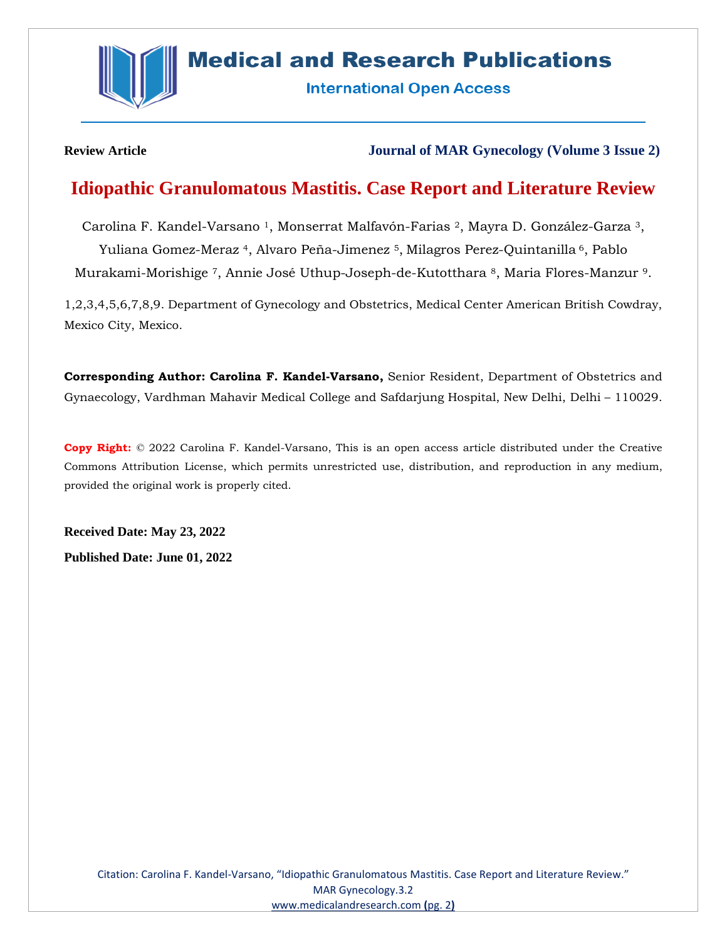

# **Medical and Research Publications**

**International Open Access** 

### **Review Article Journal of MAR Gynecology (Volume 3 Issue 2)**

## **Idiopathic Granulomatous Mastitis. Case Report and Literature Review**

Carolina F. Kandel-Varsano <sup>1</sup>, Monserrat Malfavón-Farias <sup>2</sup>, Mayra D. González-Garza <sup>3</sup>, Yuliana Gomez-Meraz <sup>4</sup>, Alvaro Peña-Jimenez <sup>5</sup>, Milagros Perez-Quintanilla <sup>6</sup>, Pablo Murakami-Morishige <sup>7</sup>, Annie José Uthup-Joseph-de-Kutotthara <sup>8</sup>, Maria Flores-Manzur <sup>9</sup>.

1,2,3,4,5,6,7,8,9. Department of Gynecology and Obstetrics, Medical Center American British Cowdray, Mexico City, Mexico.

**Corresponding Author: Carolina F. Kandel-Varsano,** Senior Resident, Department of Obstetrics and Gynaecology, Vardhman Mahavir Medical College and Safdarjung Hospital, New Delhi, Delhi – 110029.

**Copy Right:** © 2022 Carolina F. Kandel-Varsano, This is an open access article distributed under the Creative Commons Attribution License, which permits unrestricted use, distribution, and reproduction in any medium, provided the original work is properly cited.

**Received Date: May 23, 2022 Published Date: June 01, 2022**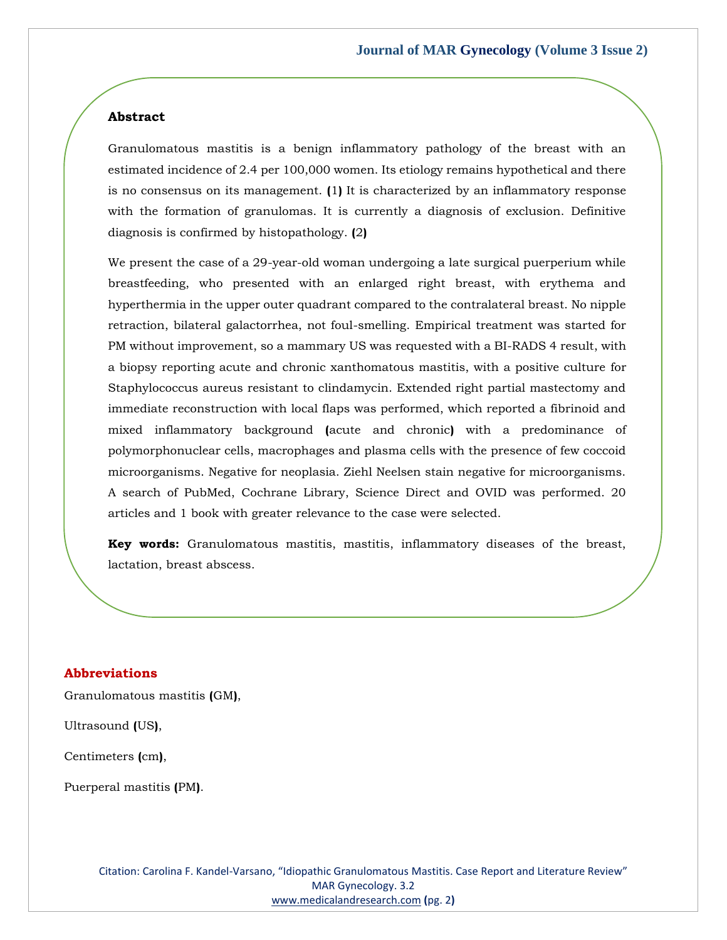### **Abstract**

Granulomatous mastitis is a benign inflammatory pathology of the breast with an estimated incidence of 2.4 per 100,000 women. Its etiology remains hypothetical and there is no consensus on its management. **(**1**)** It is characterized by an inflammatory response with the formation of granulomas. It is currently a diagnosis of exclusion. Definitive diagnosis is confirmed by histopathology. **(**2**)**

We present the case of a 29-year-old woman undergoing a late surgical puerperium while breastfeeding, who presented with an enlarged right breast, with erythema and hyperthermia in the upper outer quadrant compared to the contralateral breast. No nipple retraction, bilateral galactorrhea, not foul-smelling. Empirical treatment was started for PM without improvement, so a mammary US was requested with a BI-RADS 4 result, with a biopsy reporting acute and chronic xanthomatous mastitis, with a positive culture for Staphylococcus aureus resistant to clindamycin. Extended right partial mastectomy and immediate reconstruction with local flaps was performed, which reported a fibrinoid and mixed inflammatory background **(**acute and chronic**)** with a predominance of polymorphonuclear cells, macrophages and plasma cells with the presence of few coccoid microorganisms. Negative for neoplasia. Ziehl Neelsen stain negative for microorganisms. A search of PubMed, Cochrane Library, Science Direct and OVID was performed. 20 articles and 1 book with greater relevance to the case were selected.

**Key words:** Granulomatous mastitis, mastitis, inflammatory diseases of the breast, lactation, breast abscess.

### **Abbreviations**

Granulomatous mastitis **(**GM**)**,

Ultrasound **(**US**)**,

Centimeters **(**cm**)**,

Puerperal mastitis **(**PM**)**.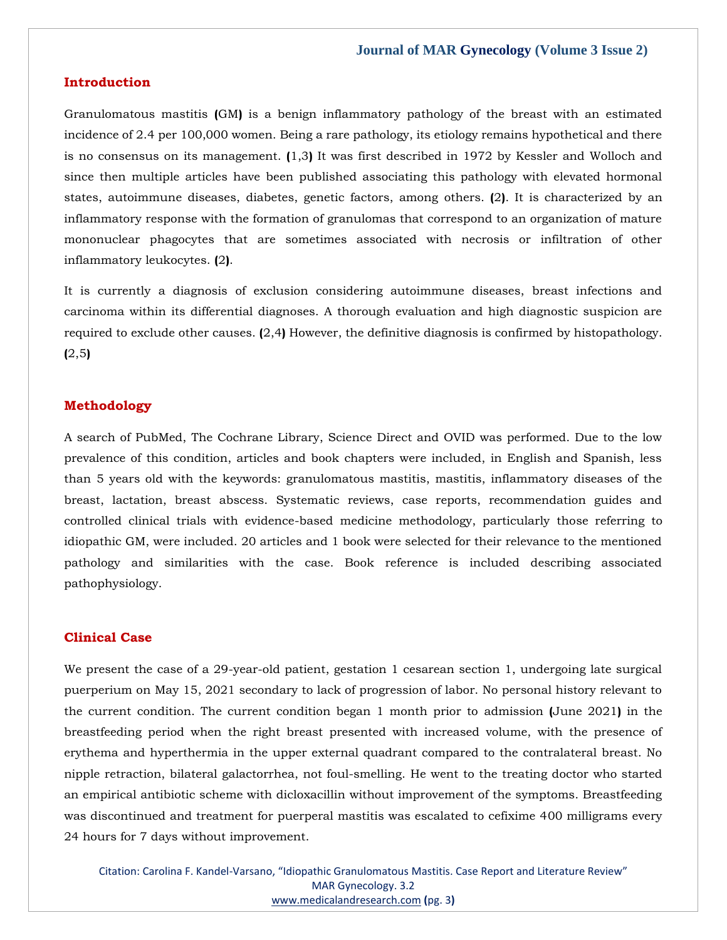### **Introduction**

Granulomatous mastitis **(**GM**)** is a benign inflammatory pathology of the breast with an estimated incidence of 2.4 per 100,000 women. Being a rare pathology, its etiology remains hypothetical and there is no consensus on its management. **(**1,3**)** It was first described in 1972 by Kessler and Wolloch and since then multiple articles have been published associating this pathology with elevated hormonal states, autoimmune diseases, diabetes, genetic factors, among others. **(**2**)**. It is characterized by an inflammatory response with the formation of granulomas that correspond to an organization of mature mononuclear phagocytes that are sometimes associated with necrosis or infiltration of other inflammatory leukocytes. **(**2**)**.

It is currently a diagnosis of exclusion considering autoimmune diseases, breast infections and carcinoma within its differential diagnoses. A thorough evaluation and high diagnostic suspicion are required to exclude other causes. **(**2,4**)** However, the definitive diagnosis is confirmed by histopathology. **(**2,5**)**

### **Methodology**

A search of PubMed, The Cochrane Library, Science Direct and OVID was performed. Due to the low prevalence of this condition, articles and book chapters were included, in English and Spanish, less than 5 years old with the keywords: granulomatous mastitis, mastitis, inflammatory diseases of the breast, lactation, breast abscess. Systematic reviews, case reports, recommendation guides and controlled clinical trials with evidence-based medicine methodology, particularly those referring to idiopathic GM, were included. 20 articles and 1 book were selected for their relevance to the mentioned pathology and similarities with the case. Book reference is included describing associated pathophysiology.

### **Clinical Case**

We present the case of a 29-year-old patient, gestation 1 cesarean section 1, undergoing late surgical puerperium on May 15, 2021 secondary to lack of progression of labor. No personal history relevant to the current condition. The current condition began 1 month prior to admission **(**June 2021**)** in the breastfeeding period when the right breast presented with increased volume, with the presence of erythema and hyperthermia in the upper external quadrant compared to the contralateral breast. No nipple retraction, bilateral galactorrhea, not foul-smelling. He went to the treating doctor who started an empirical antibiotic scheme with dicloxacillin without improvement of the symptoms. Breastfeeding was discontinued and treatment for puerperal mastitis was escalated to cefixime 400 milligrams every 24 hours for 7 days without improvement.

Citation: Carolina F. Kandel-Varsano, "Idiopathic Granulomatous Mastitis. Case Report and Literature Review" MAR Gynecology. 3.2 [www.medicalandresearch.com](http://www.medicalandresearch.com/) **(**pg. 3**)**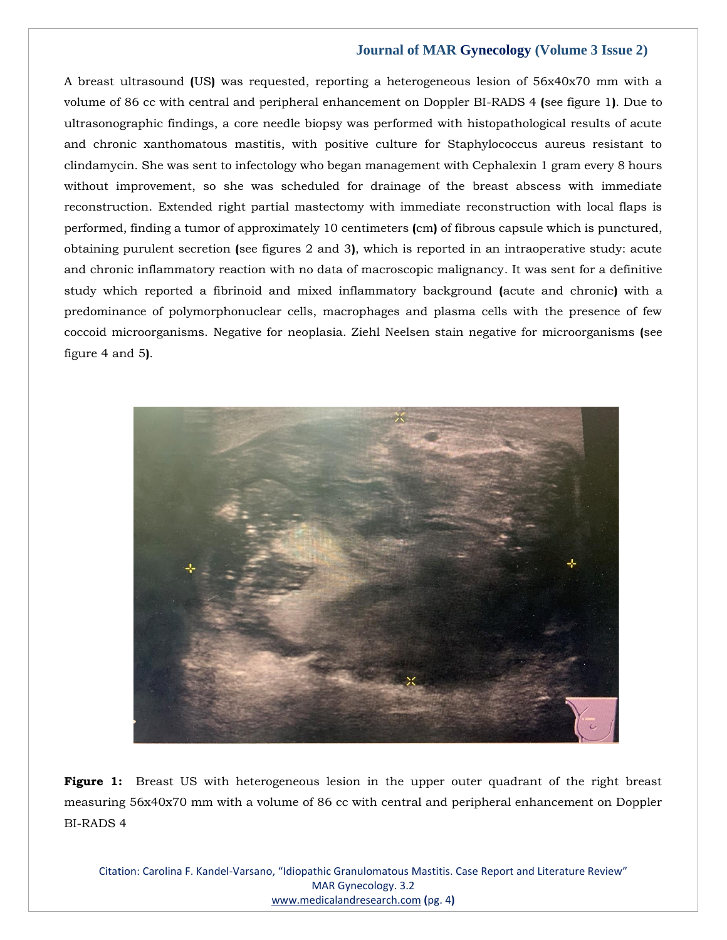A breast ultrasound **(**US**)** was requested, reporting a heterogeneous lesion of 56x40x70 mm with a volume of 86 cc with central and peripheral enhancement on Doppler BI-RADS 4 **(**see figure 1**)**. Due to ultrasonographic findings, a core needle biopsy was performed with histopathological results of acute and chronic xanthomatous mastitis, with positive culture for Staphylococcus aureus resistant to clindamycin. She was sent to infectology who began management with Cephalexin 1 gram every 8 hours without improvement, so she was scheduled for drainage of the breast abscess with immediate reconstruction. Extended right partial mastectomy with immediate reconstruction with local flaps is performed, finding a tumor of approximately 10 centimeters **(**cm**)** of fibrous capsule which is punctured, obtaining purulent secretion **(**see figures 2 and 3**)**, which is reported in an intraoperative study: acute and chronic inflammatory reaction with no data of macroscopic malignancy. It was sent for a definitive study which reported a fibrinoid and mixed inflammatory background **(**acute and chronic**)** with a predominance of polymorphonuclear cells, macrophages and plasma cells with the presence of few coccoid microorganisms. Negative for neoplasia. Ziehl Neelsen stain negative for microorganisms **(**see figure 4 and 5**)**.



**Figure 1:** Breast US with heterogeneous lesion in the upper outer quadrant of the right breast measuring 56x40x70 mm with a volume of 86 cc with central and peripheral enhancement on Doppler BI-RADS 4

Citation: Carolina F. Kandel-Varsano, "Idiopathic Granulomatous Mastitis. Case Report and Literature Review" MAR Gynecology. 3.2 [www.medicalandresearch.com](http://www.medicalandresearch.com/) **(**pg. 4**)**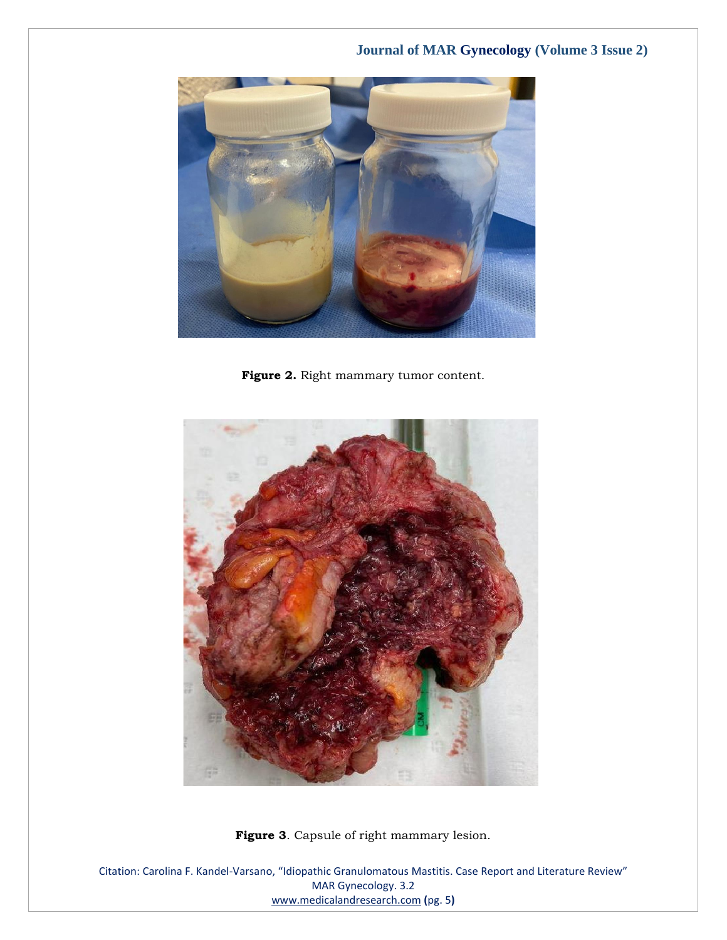

Figure 2. Right mammary tumor content.



**Figure 3**. Capsule of right mammary lesion.

Citation: Carolina F. Kandel-Varsano, "Idiopathic Granulomatous Mastitis. Case Report and Literature Review" MAR Gynecology. 3.2 [www.medicalandresearch.com](http://www.medicalandresearch.com/) **(**pg. 5**)**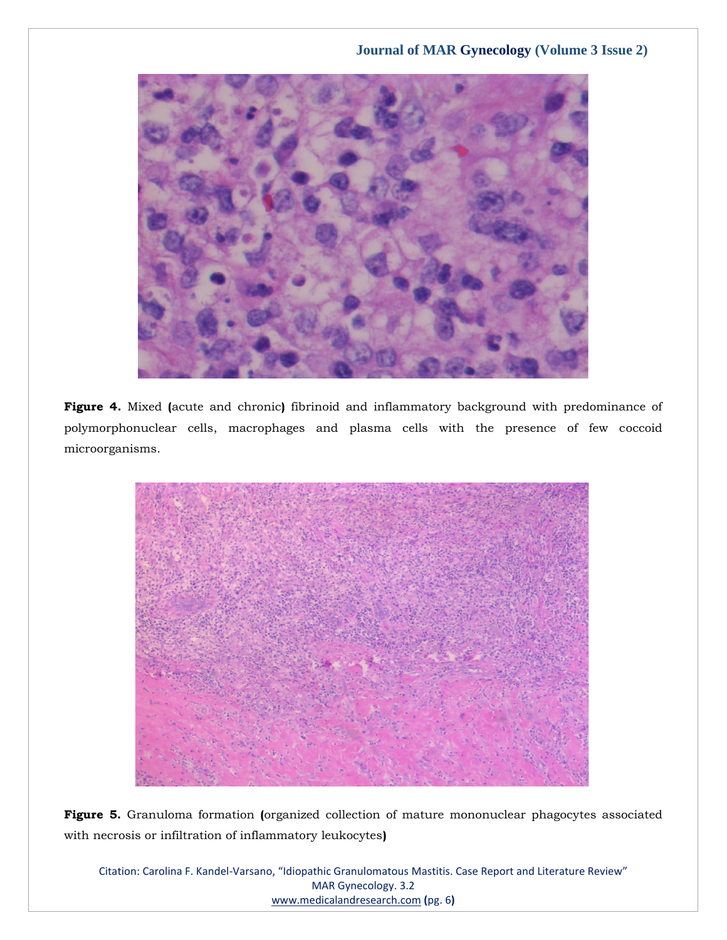

**Figure 4.** Mixed **(**acute and chronic**)** fibrinoid and inflammatory background with predominance of polymorphonuclear cells, macrophages and plasma cells with the presence of few coccoid microorganisms.



**Figure 5.** Granuloma formation **(**organized collection of mature mononuclear phagocytes associated with necrosis or infiltration of inflammatory leukocytes**)**

Citation: Carolina F. Kandel-Varsano, "Idiopathic Granulomatous Mastitis. Case Report and Literature Review" MAR Gynecology. 3.2 [www.medicalandresearch.com](http://www.medicalandresearch.com/) **(**pg. 6**)**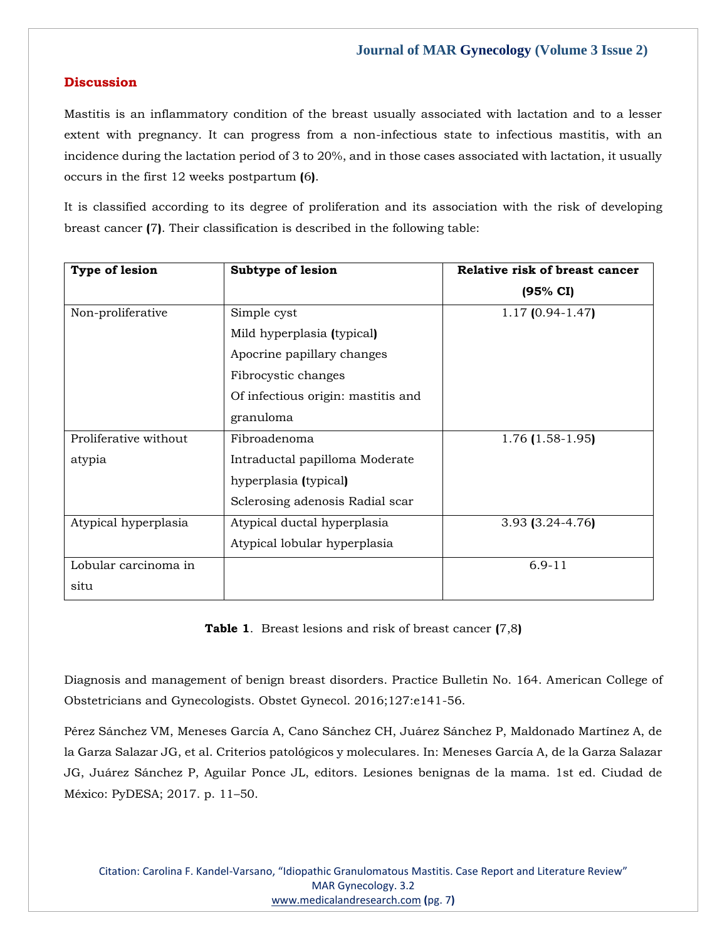### **Discussion**

Mastitis is an inflammatory condition of the breast usually associated with lactation and to a lesser extent with pregnancy. It can progress from a non-infectious state to infectious mastitis, with an incidence during the lactation period of 3 to 20%, and in those cases associated with lactation, it usually occurs in the first 12 weeks postpartum **(**6**)**.

It is classified according to its degree of proliferation and its association with the risk of developing breast cancer **(**7**)**. Their classification is described in the following table:

| Type of lesion        | Subtype of lesion                  | Relative risk of breast cancer |
|-----------------------|------------------------------------|--------------------------------|
|                       |                                    | (95% CI)                       |
| Non-proliferative     | Simple cyst                        | $1.17$ (0.94-1.47)             |
|                       | Mild hyperplasia (typical)         |                                |
|                       | Apocrine papillary changes         |                                |
|                       | Fibrocystic changes                |                                |
|                       | Of infectious origin: mastitis and |                                |
|                       | granuloma                          |                                |
| Proliferative without | Fibroadenoma                       | $1.76$ (1.58-1.95)             |
| atypia                | Intraductal papilloma Moderate     |                                |
|                       | hyperplasia (typical)              |                                |
|                       | Sclerosing adenosis Radial scar    |                                |
| Atypical hyperplasia  | Atypical ductal hyperplasia        | 3.93 (3.24-4.76)               |
|                       | Atypical lobular hyperplasia       |                                |
| Lobular carcinoma in  |                                    | $6.9 - 11$                     |
| situ                  |                                    |                                |

**Table 1**. Breast lesions and risk of breast cancer **(**7,8**)**

Diagnosis and management of benign breast disorders. Practice Bulletin No. 164. American College of Obstetricians and Gynecologists. Obstet Gynecol. 2016;127:e141-56.

Pérez Sánchez VM, Meneses García A, Cano Sánchez CH, Juárez Sánchez P, Maldonado Martínez A, de la Garza Salazar JG, et al. Criterios patológicos y moleculares. In: Meneses García A, de la Garza Salazar JG, Juárez Sánchez P, Aguilar Ponce JL, editors. Lesiones benignas de la mama. 1st ed. Ciudad de México: PyDESA; 2017. p. 11–50.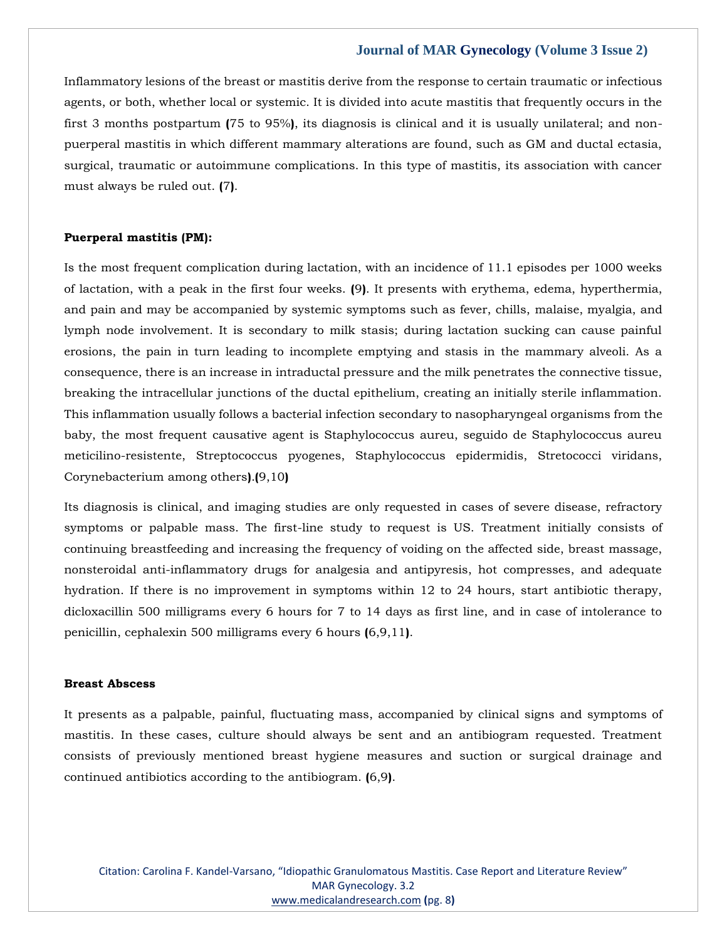Inflammatory lesions of the breast or mastitis derive from the response to certain traumatic or infectious agents, or both, whether local or systemic. It is divided into acute mastitis that frequently occurs in the first 3 months postpartum **(**75 to 95%**)**, its diagnosis is clinical and it is usually unilateral; and nonpuerperal mastitis in which different mammary alterations are found, such as GM and ductal ectasia, surgical, traumatic or autoimmune complications. In this type of mastitis, its association with cancer must always be ruled out. **(**7**)**.

### **Puerperal mastitis (PM):**

Is the most frequent complication during lactation, with an incidence of 11.1 episodes per 1000 weeks of lactation, with a peak in the first four weeks. **(**9**)**. It presents with erythema, edema, hyperthermia, and pain and may be accompanied by systemic symptoms such as fever, chills, malaise, myalgia, and lymph node involvement. It is secondary to milk stasis; during lactation sucking can cause painful erosions, the pain in turn leading to incomplete emptying and stasis in the mammary alveoli. As a consequence, there is an increase in intraductal pressure and the milk penetrates the connective tissue, breaking the intracellular junctions of the ductal epithelium, creating an initially sterile inflammation. This inflammation usually follows a bacterial infection secondary to nasopharyngeal organisms from the baby, the most frequent causative agent is Staphylococcus aureu, seguido de Staphylococcus aureu meticilino-resistente, Streptococcus pyogenes, Staphylococcus epidermidis, Stretococci viridans, Corynebacterium among others**)**.**(**9,10**)**

Its diagnosis is clinical, and imaging studies are only requested in cases of severe disease, refractory symptoms or palpable mass. The first-line study to request is US. Treatment initially consists of continuing breastfeeding and increasing the frequency of voiding on the affected side, breast massage, nonsteroidal anti-inflammatory drugs for analgesia and antipyresis, hot compresses, and adequate hydration. If there is no improvement in symptoms within 12 to 24 hours, start antibiotic therapy, dicloxacillin 500 milligrams every 6 hours for 7 to 14 days as first line, and in case of intolerance to penicillin, cephalexin 500 milligrams every 6 hours **(**6,9,11**)**.

### **Breast Abscess**

It presents as a palpable, painful, fluctuating mass, accompanied by clinical signs and symptoms of mastitis. In these cases, culture should always be sent and an antibiogram requested. Treatment consists of previously mentioned breast hygiene measures and suction or surgical drainage and continued antibiotics according to the antibiogram. **(**6,9**)**.

Citation: Carolina F. Kandel-Varsano, "Idiopathic Granulomatous Mastitis. Case Report and Literature Review" MAR Gynecology. 3.2 [www.medicalandresearch.com](http://www.medicalandresearch.com/) **(**pg. 8**)**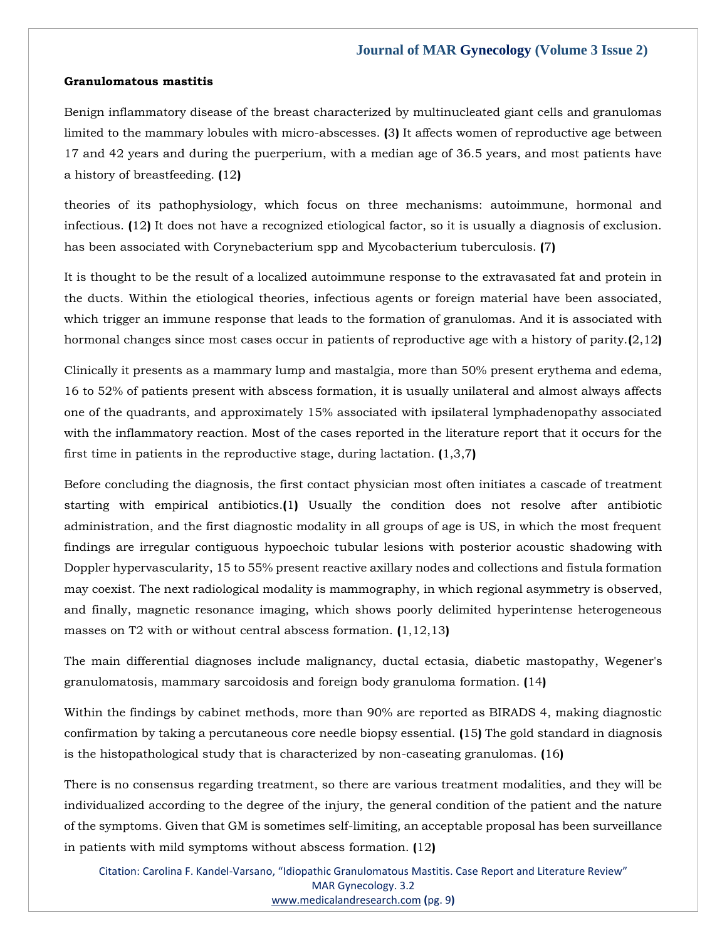### **Granulomatous mastitis**

Benign inflammatory disease of the breast characterized by multinucleated giant cells and granulomas limited to the mammary lobules with micro-abscesses. **(**3**)** It affects women of reproductive age between 17 and 42 years and during the puerperium, with a median age of 36.5 years, and most patients have a history of breastfeeding. **(**12**)**

theories of its pathophysiology, which focus on three mechanisms: autoimmune, hormonal and infectious. **(**12**)** It does not have a recognized etiological factor, so it is usually a diagnosis of exclusion. has been associated with Corynebacterium spp and Mycobacterium tuberculosis. **(**7**)**

It is thought to be the result of a localized autoimmune response to the extravasated fat and protein in the ducts. Within the etiological theories, infectious agents or foreign material have been associated, which trigger an immune response that leads to the formation of granulomas. And it is associated with hormonal changes since most cases occur in patients of reproductive age with a history of parity.**(**2,12**)**

Clinically it presents as a mammary lump and mastalgia, more than 50% present erythema and edema, 16 to 52% of patients present with abscess formation, it is usually unilateral and almost always affects one of the quadrants, and approximately 15% associated with ipsilateral lymphadenopathy associated with the inflammatory reaction. Most of the cases reported in the literature report that it occurs for the first time in patients in the reproductive stage, during lactation. **(**1,3,7**)**

Before concluding the diagnosis, the first contact physician most often initiates a cascade of treatment starting with empirical antibiotics.**(**1**)** Usually the condition does not resolve after antibiotic administration, and the first diagnostic modality in all groups of age is US, in which the most frequent findings are irregular contiguous hypoechoic tubular lesions with posterior acoustic shadowing with Doppler hypervascularity, 15 to 55% present reactive axillary nodes and collections and fistula formation may coexist. The next radiological modality is mammography, in which regional asymmetry is observed, and finally, magnetic resonance imaging, which shows poorly delimited hyperintense heterogeneous masses on T2 with or without central abscess formation. **(**1,12,13**)**

The main differential diagnoses include malignancy, ductal ectasia, diabetic mastopathy, Wegener's granulomatosis, mammary sarcoidosis and foreign body granuloma formation. **(**14**)**

Within the findings by cabinet methods, more than 90% are reported as BIRADS 4, making diagnostic confirmation by taking a percutaneous core needle biopsy essential. **(**15**)** The gold standard in diagnosis is the histopathological study that is characterized by non-caseating granulomas. **(**16**)**

There is no consensus regarding treatment, so there are various treatment modalities, and they will be individualized according to the degree of the injury, the general condition of the patient and the nature of the symptoms. Given that GM is sometimes self-limiting, an acceptable proposal has been surveillance in patients with mild symptoms without abscess formation. **(**12**)**

Citation: Carolina F. Kandel-Varsano, "Idiopathic Granulomatous Mastitis. Case Report and Literature Review" MAR Gynecology. 3.2 [www.medicalandresearch.com](http://www.medicalandresearch.com/) **(**pg. 9**)**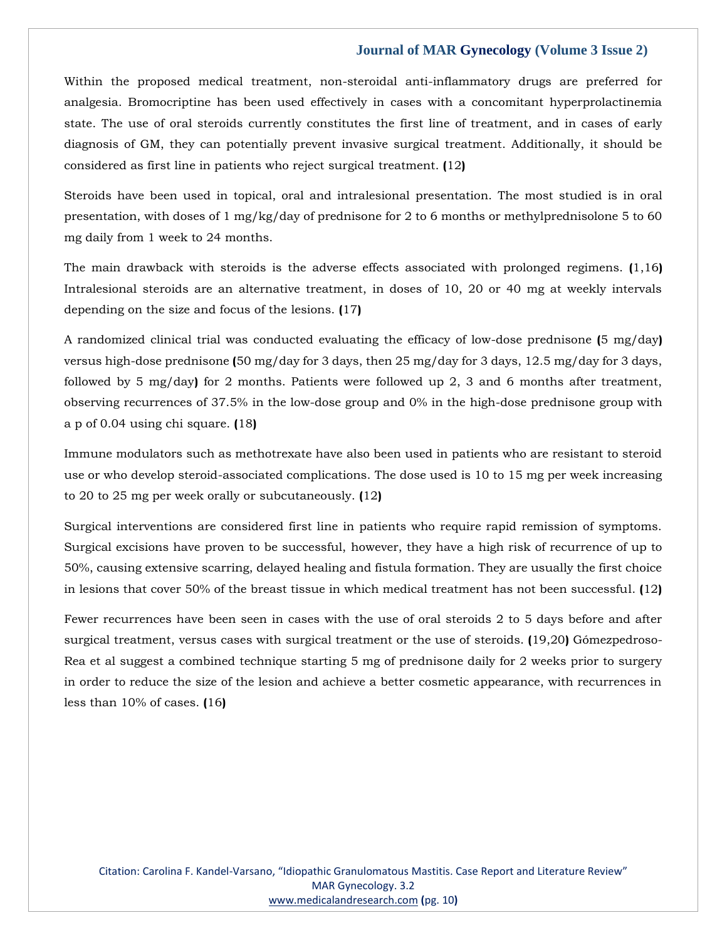Within the proposed medical treatment, non-steroidal anti-inflammatory drugs are preferred for analgesia. Bromocriptine has been used effectively in cases with a concomitant hyperprolactinemia state. The use of oral steroids currently constitutes the first line of treatment, and in cases of early diagnosis of GM, they can potentially prevent invasive surgical treatment. Additionally, it should be considered as first line in patients who reject surgical treatment. **(**12**)**

Steroids have been used in topical, oral and intralesional presentation. The most studied is in oral presentation, with doses of 1 mg/kg/day of prednisone for 2 to 6 months or methylprednisolone 5 to 60 mg daily from 1 week to 24 months.

The main drawback with steroids is the adverse effects associated with prolonged regimens. **(**1,16**)** Intralesional steroids are an alternative treatment, in doses of 10, 20 or 40 mg at weekly intervals depending on the size and focus of the lesions. **(**17**)**

A randomized clinical trial was conducted evaluating the efficacy of low-dose prednisone **(**5 mg/day**)** versus high-dose prednisone **(**50 mg/day for 3 days, then 25 mg/day for 3 days, 12.5 mg/day for 3 days, followed by 5 mg/day**)** for 2 months. Patients were followed up 2, 3 and 6 months after treatment, observing recurrences of 37.5% in the low-dose group and 0% in the high-dose prednisone group with a p of 0.04 using chi square. **(**18**)**

Immune modulators such as methotrexate have also been used in patients who are resistant to steroid use or who develop steroid-associated complications. The dose used is 10 to 15 mg per week increasing to 20 to 25 mg per week orally or subcutaneously. **(**12**)**

Surgical interventions are considered first line in patients who require rapid remission of symptoms. Surgical excisions have proven to be successful, however, they have a high risk of recurrence of up to 50%, causing extensive scarring, delayed healing and fistula formation. They are usually the first choice in lesions that cover 50% of the breast tissue in which medical treatment has not been successful. **(**12**)**

Fewer recurrences have been seen in cases with the use of oral steroids 2 to 5 days before and after surgical treatment, versus cases with surgical treatment or the use of steroids. **(**19,20**)** Gómezpedroso-Rea et al suggest a combined technique starting 5 mg of prednisone daily for 2 weeks prior to surgery in order to reduce the size of the lesion and achieve a better cosmetic appearance, with recurrences in less than 10% of cases. **(**16**)**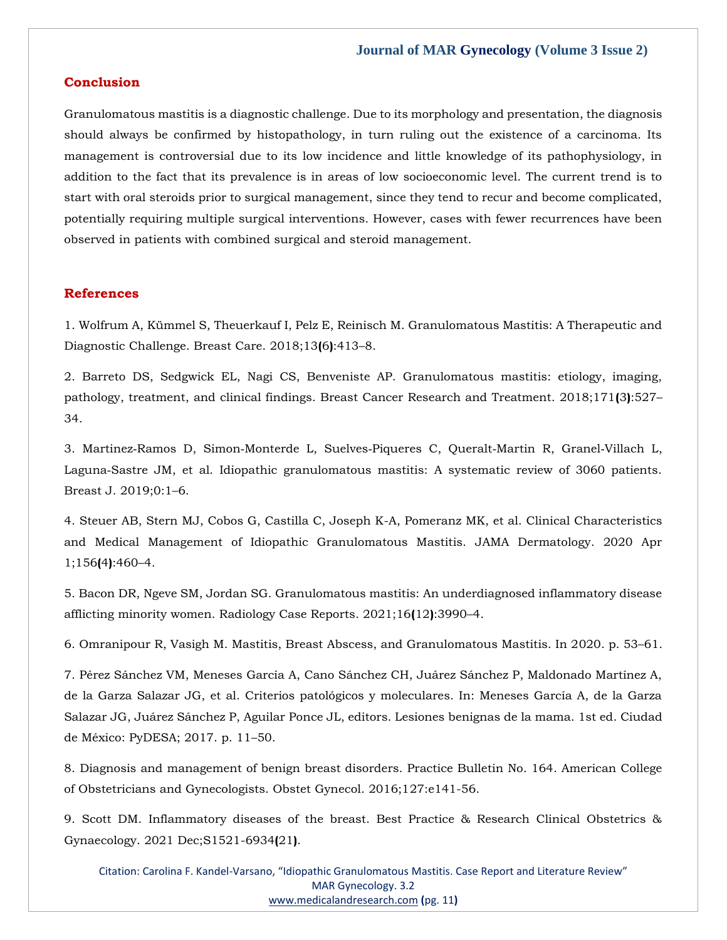### **Conclusion**

Granulomatous mastitis is a diagnostic challenge. Due to its morphology and presentation, the diagnosis should always be confirmed by histopathology, in turn ruling out the existence of a carcinoma. Its management is controversial due to its low incidence and little knowledge of its pathophysiology, in addition to the fact that its prevalence is in areas of low socioeconomic level. The current trend is to start with oral steroids prior to surgical management, since they tend to recur and become complicated, potentially requiring multiple surgical interventions. However, cases with fewer recurrences have been observed in patients with combined surgical and steroid management.

### **References**

[1. Wolfrum A, Kümmel S, Theuerkauf I, Pelz E, Reinisch M. Granulomatous Mastitis: A Therapeutic and](https://www.google.com/search?q=Granulomatous+Mastitis%3A+A+Therapeutic+and+Diagnostic+Challenge&oq=Granulomatous+Mastitis%3A+A+Therapeutic+and+Diagnostic+Challenge&aqs=chrome..69i57.478j0j7&sourceid=chrome&ie=UTF-8)  [Diagnostic Challenge. Breast Care. 2018;13](https://www.google.com/search?q=Granulomatous+Mastitis%3A+A+Therapeutic+and+Diagnostic+Challenge&oq=Granulomatous+Mastitis%3A+A+Therapeutic+and+Diagnostic+Challenge&aqs=chrome..69i57.478j0j7&sourceid=chrome&ie=UTF-8)**(**6**)**:413–8.

[2. Barreto DS, Sedgwick EL, Nagi CS, Benveniste AP. Granulomatous mastitis: etiology, imaging,](https://www.google.com/search?q=Granulomatous+mastitis%3A+etiology%2C+imaging%2C+pathology%2C+treatment%2C+and+clinical+findings.+Breast+Cancer+Research+and+Treatment&sxsrf=ALiCzsYfTu8QZvpX7HRb37yNQeeq-ZfciQ%3A1653457117465&ei=3cCNYrz0G_7Zz7sP_L-W-AQ&ved=0ahUKEwj81ozh9_n3AhX-7HMBHfyfBU8Q4dUDCA4&oq=Granulomatous+mastitis%3A+etiology%2C+imaging%2C+pathology%2C+treatment%2C+and+clinical+findings.+Breast+Cancer+Research+and+Treatment&gs_lcp=Cgdnd3Mtd2l6EAwyBwgjEOoCECcyBwgjEOoCECcyBwgjEOoCECcyBwgjEOoCECcyBwgjEOoCECcyBwgjEOoCECcyBwgjEOoCECcyBwgjEOoCECcyBwgjEOoCECcyBwgjEOoCECdKBAhBGABKBAhGGABQxgJYxgJg0gdoAXABeACAAQCIAQCSAQCYAQCgAQGgAQKwAQrAAQE&sclient=gws-wiz)  [pathology, treatment, and clinical findings. Breast Cancer Research and Treatment. 2018;171](https://www.google.com/search?q=Granulomatous+mastitis%3A+etiology%2C+imaging%2C+pathology%2C+treatment%2C+and+clinical+findings.+Breast+Cancer+Research+and+Treatment&sxsrf=ALiCzsYfTu8QZvpX7HRb37yNQeeq-ZfciQ%3A1653457117465&ei=3cCNYrz0G_7Zz7sP_L-W-AQ&ved=0ahUKEwj81ozh9_n3AhX-7HMBHfyfBU8Q4dUDCA4&oq=Granulomatous+mastitis%3A+etiology%2C+imaging%2C+pathology%2C+treatment%2C+and+clinical+findings.+Breast+Cancer+Research+and+Treatment&gs_lcp=Cgdnd3Mtd2l6EAwyBwgjEOoCECcyBwgjEOoCECcyBwgjEOoCECcyBwgjEOoCECcyBwgjEOoCECcyBwgjEOoCECcyBwgjEOoCECcyBwgjEOoCECcyBwgjEOoCECcyBwgjEOoCECdKBAhBGABKBAhGGABQxgJYxgJg0gdoAXABeACAAQCIAQCSAQCYAQCgAQGgAQKwAQrAAQE&sclient=gws-wiz)**(**3**)**:527– [34.](https://www.google.com/search?q=Granulomatous+mastitis%3A+etiology%2C+imaging%2C+pathology%2C+treatment%2C+and+clinical+findings.+Breast+Cancer+Research+and+Treatment&sxsrf=ALiCzsYfTu8QZvpX7HRb37yNQeeq-ZfciQ%3A1653457117465&ei=3cCNYrz0G_7Zz7sP_L-W-AQ&ved=0ahUKEwj81ozh9_n3AhX-7HMBHfyfBU8Q4dUDCA4&oq=Granulomatous+mastitis%3A+etiology%2C+imaging%2C+pathology%2C+treatment%2C+and+clinical+findings.+Breast+Cancer+Research+and+Treatment&gs_lcp=Cgdnd3Mtd2l6EAwyBwgjEOoCECcyBwgjEOoCECcyBwgjEOoCECcyBwgjEOoCECcyBwgjEOoCECcyBwgjEOoCECcyBwgjEOoCECcyBwgjEOoCECcyBwgjEOoCECcyBwgjEOoCECdKBAhBGABKBAhGGABQxgJYxgJg0gdoAXABeACAAQCIAQCSAQCYAQCgAQGgAQKwAQrAAQE&sclient=gws-wiz)

3. Martinez‐Ramos D, Simon‐[Monterde L, Suelves](https://www.google.com/search?q=Idiopathic+granulomatous+mastitis%3A+A+systematic+review+of+3060+patients&sxsrf=ALiCzsax1JhH9CxGatR9jwe9Bj7kYMCU5A%3A1653457144802&ei=-MCNYqvCMI7Xz7sP1Puu4Aw&ved=0ahUKEwirnpHu9_n3AhWO63MBHdS9C8wQ4dUDCA4&oq=Idiopathic+granulomatous+mastitis%3A+A+systematic+review+of+3060+patients&gs_lcp=Cgdnd3Mtd2l6EAwyBwgjEOoCECcyBwgjEOoCECcyBwgjEOoCECcyBwgjEOoCECcyBwgjEOoCECcyBwgjEOoCECcyBwgjEOoCECcyBwgjEOoCECcyBwgjEOoCECcyBwgjEOoCECdKBAhBGABKBAhGGABQlANYlANgqgdoAXABeACAAQCIAQCSAQCYAQCgAQGgAQKwAQrAAQE&sclient=gws-wiz)‐Piqueres C, Queralt‐Martin R, Granel‐Villach L, Laguna‐[Sastre JM, et al. Idiopathic granulomatous mastitis: A systematic review of 3060 patients.](https://www.google.com/search?q=Idiopathic+granulomatous+mastitis%3A+A+systematic+review+of+3060+patients&sxsrf=ALiCzsax1JhH9CxGatR9jwe9Bj7kYMCU5A%3A1653457144802&ei=-MCNYqvCMI7Xz7sP1Puu4Aw&ved=0ahUKEwirnpHu9_n3AhWO63MBHdS9C8wQ4dUDCA4&oq=Idiopathic+granulomatous+mastitis%3A+A+systematic+review+of+3060+patients&gs_lcp=Cgdnd3Mtd2l6EAwyBwgjEOoCECcyBwgjEOoCECcyBwgjEOoCECcyBwgjEOoCECcyBwgjEOoCECcyBwgjEOoCECcyBwgjEOoCECcyBwgjEOoCECcyBwgjEOoCECcyBwgjEOoCECdKBAhBGABKBAhGGABQlANYlANgqgdoAXABeACAAQCIAQCSAQCYAQCgAQGgAQKwAQrAAQE&sclient=gws-wiz)  [Breast J. 2019;0:1](https://www.google.com/search?q=Idiopathic+granulomatous+mastitis%3A+A+systematic+review+of+3060+patients&sxsrf=ALiCzsax1JhH9CxGatR9jwe9Bj7kYMCU5A%3A1653457144802&ei=-MCNYqvCMI7Xz7sP1Puu4Aw&ved=0ahUKEwirnpHu9_n3AhWO63MBHdS9C8wQ4dUDCA4&oq=Idiopathic+granulomatous+mastitis%3A+A+systematic+review+of+3060+patients&gs_lcp=Cgdnd3Mtd2l6EAwyBwgjEOoCECcyBwgjEOoCECcyBwgjEOoCECcyBwgjEOoCECcyBwgjEOoCECcyBwgjEOoCECcyBwgjEOoCECcyBwgjEOoCECcyBwgjEOoCECcyBwgjEOoCECdKBAhBGABKBAhGGABQlANYlANgqgdoAXABeACAAQCIAQCSAQCYAQCgAQGgAQKwAQrAAQE&sclient=gws-wiz)–6.

[4. Steuer AB, Stern MJ, Cobos G, Castilla C, Joseph K-A, Pomeranz MK, et al. Clinical Characteristics](https://www.google.com/search?q=+Clinical+Characteristics+and+Medical+Management+of+Idiopathic+Granulomatous+Mastitis.+JAMA+Dermatology&sxsrf=ALiCzsbyVwBfjlKMy9URVw4QSB0nkEAgcA%3A1653457172359&ei=FMGNYpDAFZ_Tz7sP6feHuAU&ved=0ahUKEwiQmqP79_n3AhWf6XMBHen7AVcQ4dUDCA4&oq=+Clinical+Characteristics+and+Medical+Management+of+Idiopathic+Granulomatous+Mastitis.+JAMA+Dermatology&gs_lcp=Cgdnd3Mtd2l6EAwyBwgjEOoCECcyBwgjEOoCECcyBwgjEOoCECcyBwgjEOoCECcyBwgjEOoCECcyBwgjEOoCECcyBwgjEOoCECcyBwgjEOoCECcyBwgjEOoCECcyBwgjEOoCECdKBAhBGABKBAhGGABQlQJYlQJg7AdoAXABeACAAQCIAQCSAQCYAQCgAQGgAQKwAQrAAQE&sclient=gws-wiz)  [and Medical Management of Idiopathic Granulomatous Mastitis. JAMA Dermatology. 2020 Apr](https://www.google.com/search?q=+Clinical+Characteristics+and+Medical+Management+of+Idiopathic+Granulomatous+Mastitis.+JAMA+Dermatology&sxsrf=ALiCzsbyVwBfjlKMy9URVw4QSB0nkEAgcA%3A1653457172359&ei=FMGNYpDAFZ_Tz7sP6feHuAU&ved=0ahUKEwiQmqP79_n3AhWf6XMBHen7AVcQ4dUDCA4&oq=+Clinical+Characteristics+and+Medical+Management+of+Idiopathic+Granulomatous+Mastitis.+JAMA+Dermatology&gs_lcp=Cgdnd3Mtd2l6EAwyBwgjEOoCECcyBwgjEOoCECcyBwgjEOoCECcyBwgjEOoCECcyBwgjEOoCECcyBwgjEOoCECcyBwgjEOoCECcyBwgjEOoCECcyBwgjEOoCECcyBwgjEOoCECdKBAhBGABKBAhGGABQlQJYlQJg7AdoAXABeACAAQCIAQCSAQCYAQCgAQGgAQKwAQrAAQE&sclient=gws-wiz)  [1;156](https://www.google.com/search?q=+Clinical+Characteristics+and+Medical+Management+of+Idiopathic+Granulomatous+Mastitis.+JAMA+Dermatology&sxsrf=ALiCzsbyVwBfjlKMy9URVw4QSB0nkEAgcA%3A1653457172359&ei=FMGNYpDAFZ_Tz7sP6feHuAU&ved=0ahUKEwiQmqP79_n3AhWf6XMBHen7AVcQ4dUDCA4&oq=+Clinical+Characteristics+and+Medical+Management+of+Idiopathic+Granulomatous+Mastitis.+JAMA+Dermatology&gs_lcp=Cgdnd3Mtd2l6EAwyBwgjEOoCECcyBwgjEOoCECcyBwgjEOoCECcyBwgjEOoCECcyBwgjEOoCECcyBwgjEOoCECcyBwgjEOoCECcyBwgjEOoCECcyBwgjEOoCECcyBwgjEOoCECdKBAhBGABKBAhGGABQlQJYlQJg7AdoAXABeACAAQCIAQCSAQCYAQCgAQGgAQKwAQrAAQE&sclient=gws-wiz)**(**4**)**:460–4.

[5. Bacon DR, Ngeve SM, Jordan SG. Granulomatous mastitis: An underdiagnosed inflammatory disease](https://www.google.com/search?q=Granulomatous+mastitis%3A+An+underdiagnosed+inflammatory+disease+afflicting+minority+women.+&sxsrf=ALiCzsbJarPyDCjySF_XE0kvbOd4y-I4ZQ%3A1653457188809&ei=JMGNYs2IMYnWz7sPmb6j8AQ&ved=0ahUKEwjNqo-D-Pn3AhUJ63MBHRnfCE4Q4dUDCA4&oq=Granulomatous+mastitis%3A+An+underdiagnosed+inflammatory+disease+afflicting+minority+women.+&gs_lcp=Cgdnd3Mtd2l6EAwyBwgjEOoCECcyBwgjEOoCECcyBwgjEOoCECcyBwgjEOoCECcyBwgjEOoCECcyBwgjEOoCECcyBwgjEOoCECcyBwgjEOoCECcyBwgjEOoCECcyBwgjEOoCECdKBAhBGABKBAhGGABQ3QNY3QNg0AhoAXABeACAAdgEiAHYBJIBAzUtMZgBAKABAaABArABCsABAQ&sclient=gws-wiz)  [afflicting minority women. Radiology Case Reports. 2021;16](https://www.google.com/search?q=Granulomatous+mastitis%3A+An+underdiagnosed+inflammatory+disease+afflicting+minority+women.+&sxsrf=ALiCzsbJarPyDCjySF_XE0kvbOd4y-I4ZQ%3A1653457188809&ei=JMGNYs2IMYnWz7sPmb6j8AQ&ved=0ahUKEwjNqo-D-Pn3AhUJ63MBHRnfCE4Q4dUDCA4&oq=Granulomatous+mastitis%3A+An+underdiagnosed+inflammatory+disease+afflicting+minority+women.+&gs_lcp=Cgdnd3Mtd2l6EAwyBwgjEOoCECcyBwgjEOoCECcyBwgjEOoCECcyBwgjEOoCECcyBwgjEOoCECcyBwgjEOoCECcyBwgjEOoCECcyBwgjEOoCECcyBwgjEOoCECcyBwgjEOoCECdKBAhBGABKBAhGGABQ3QNY3QNg0AhoAXABeACAAdgEiAHYBJIBAzUtMZgBAKABAaABArABCsABAQ&sclient=gws-wiz)**(**12**)**:3990–4.

[6. Omranipour R, Vasigh M. Mastitis, Breast Abscess, and Granulomatous Mastitis. In 2020. p. 53](https://www.google.com/search?q=Mastitis%2C+Breast+Abscess%2C+and+Granulomatous+Mastitis&sxsrf=ALiCzsa4m4ppUMpJgpd8CGJWLQTK3K0l0w%3A1653457244357&ei=XMGNYputFdTez7sPyoa58AE&ved=0ahUKEwiby82d-Pn3AhVU73MBHUpDDh4Q4dUDCA4&oq=Mastitis%2C+Breast+Abscess%2C+and+Granulomatous+Mastitis&gs_lcp=Cgdnd3Mtd2l6EAwyBQghEKABMgUIIRCgATIFCCEQoAE6BwgjEOoCECdKBAhBGABKBAhGGABQ3ANY3ANgsAloAXAAeACAAYwEiAGMBJIBAzUtMZgBAKABAaABArABCsABAQ&sclient=gws-wiz)–61.

[7. Pérez Sánchez VM, Meneses García A, Cano Sánchez CH, Juárez Sánchez P, Maldonado Martínez A,](https://www.google.com/search?q=Criterios+patol%C3%B3gicos+y+moleculares.+In%3A+Meneses+Garc%C3%ADa+A%2C+de+la+Garza+Salazar+JG%2C+Ju%C3%A1rez+S%C3%A1nchez+P%2C+Aguilar+Ponce+JL%2C+editors.+Lesiones+benignas+de+la+mama&sxsrf=ALiCzsZQkQMdZvFAJenw50cU3iLNE3RH-Q%3A1653457268002&ei=c8GNYqTrPLDFz7sPjP61WA&ved=0ahUKEwjk8PCo-Pn3AhWw4nMBHQx_DQsQ4dUDCA4&oq=Criterios+patol%C3%B3gicos+y+moleculares.+In%3A+Meneses+Garc%C3%ADa+A%2C+de+la+Garza+Salazar+JG%2C+Ju%C3%A1rez+S%C3%A1nchez+P%2C+Aguilar+Ponce+JL%2C+editors.+Lesiones+benignas+de+la+mama&gs_lcp=Cgdnd3Mtd2l6EAwyBwgjEOoCECcyBwgjEOoCECcyBwgjEOoCECcyBwgjEOoCECcyBwgjEOoCECcyBwgjEOoCECcyBwgjEOoCECcyBwgjEOoCECcyBwgjEOoCECcyBwgjEOoCECdKBAhBGABKBAhGGABQ3wJY3wJg-AhoAXABeACAAQCIAQCSAQCYAQCgAQGgAQKwAQrAAQE&sclient=gws-wiz)  [de la Garza Salazar JG, et al. Criterios patológicos y moleculares. In: Meneses García A, de la Garza](https://www.google.com/search?q=Criterios+patol%C3%B3gicos+y+moleculares.+In%3A+Meneses+Garc%C3%ADa+A%2C+de+la+Garza+Salazar+JG%2C+Ju%C3%A1rez+S%C3%A1nchez+P%2C+Aguilar+Ponce+JL%2C+editors.+Lesiones+benignas+de+la+mama&sxsrf=ALiCzsZQkQMdZvFAJenw50cU3iLNE3RH-Q%3A1653457268002&ei=c8GNYqTrPLDFz7sPjP61WA&ved=0ahUKEwjk8PCo-Pn3AhWw4nMBHQx_DQsQ4dUDCA4&oq=Criterios+patol%C3%B3gicos+y+moleculares.+In%3A+Meneses+Garc%C3%ADa+A%2C+de+la+Garza+Salazar+JG%2C+Ju%C3%A1rez+S%C3%A1nchez+P%2C+Aguilar+Ponce+JL%2C+editors.+Lesiones+benignas+de+la+mama&gs_lcp=Cgdnd3Mtd2l6EAwyBwgjEOoCECcyBwgjEOoCECcyBwgjEOoCECcyBwgjEOoCECcyBwgjEOoCECcyBwgjEOoCECcyBwgjEOoCECcyBwgjEOoCECcyBwgjEOoCECcyBwgjEOoCECdKBAhBGABKBAhGGABQ3wJY3wJg-AhoAXABeACAAQCIAQCSAQCYAQCgAQGgAQKwAQrAAQE&sclient=gws-wiz)  [Salazar JG, Juárez Sánchez P, Aguilar Ponce JL, editors. Lesiones benignas de la mama. 1st ed. Ciudad](https://www.google.com/search?q=Criterios+patol%C3%B3gicos+y+moleculares.+In%3A+Meneses+Garc%C3%ADa+A%2C+de+la+Garza+Salazar+JG%2C+Ju%C3%A1rez+S%C3%A1nchez+P%2C+Aguilar+Ponce+JL%2C+editors.+Lesiones+benignas+de+la+mama&sxsrf=ALiCzsZQkQMdZvFAJenw50cU3iLNE3RH-Q%3A1653457268002&ei=c8GNYqTrPLDFz7sPjP61WA&ved=0ahUKEwjk8PCo-Pn3AhWw4nMBHQx_DQsQ4dUDCA4&oq=Criterios+patol%C3%B3gicos+y+moleculares.+In%3A+Meneses+Garc%C3%ADa+A%2C+de+la+Garza+Salazar+JG%2C+Ju%C3%A1rez+S%C3%A1nchez+P%2C+Aguilar+Ponce+JL%2C+editors.+Lesiones+benignas+de+la+mama&gs_lcp=Cgdnd3Mtd2l6EAwyBwgjEOoCECcyBwgjEOoCECcyBwgjEOoCECcyBwgjEOoCECcyBwgjEOoCECcyBwgjEOoCECcyBwgjEOoCECcyBwgjEOoCECcyBwgjEOoCECcyBwgjEOoCECdKBAhBGABKBAhGGABQ3wJY3wJg-AhoAXABeACAAQCIAQCSAQCYAQCgAQGgAQKwAQrAAQE&sclient=gws-wiz)  [de México: PyDESA; 2017. p. 11](https://www.google.com/search?q=Criterios+patol%C3%B3gicos+y+moleculares.+In%3A+Meneses+Garc%C3%ADa+A%2C+de+la+Garza+Salazar+JG%2C+Ju%C3%A1rez+S%C3%A1nchez+P%2C+Aguilar+Ponce+JL%2C+editors.+Lesiones+benignas+de+la+mama&sxsrf=ALiCzsZQkQMdZvFAJenw50cU3iLNE3RH-Q%3A1653457268002&ei=c8GNYqTrPLDFz7sPjP61WA&ved=0ahUKEwjk8PCo-Pn3AhWw4nMBHQx_DQsQ4dUDCA4&oq=Criterios+patol%C3%B3gicos+y+moleculares.+In%3A+Meneses+Garc%C3%ADa+A%2C+de+la+Garza+Salazar+JG%2C+Ju%C3%A1rez+S%C3%A1nchez+P%2C+Aguilar+Ponce+JL%2C+editors.+Lesiones+benignas+de+la+mama&gs_lcp=Cgdnd3Mtd2l6EAwyBwgjEOoCECcyBwgjEOoCECcyBwgjEOoCECcyBwgjEOoCECcyBwgjEOoCECcyBwgjEOoCECcyBwgjEOoCECcyBwgjEOoCECcyBwgjEOoCECcyBwgjEOoCECdKBAhBGABKBAhGGABQ3wJY3wJg-AhoAXABeACAAQCIAQCSAQCYAQCgAQGgAQKwAQrAAQE&sclient=gws-wiz)–50.

[8. Diagnosis and management of benign breast disorders. Practice Bulletin No. 164. American College](https://www.google.com/search?q=Diagnosis+and+management+of+benign+breast+disorders&sxsrf=ALiCzsZvWRqQaTK5xqoGxckH3ckGNm2jaQ%3A1653457352012&ei=yMGNYtQ2l6Hi3g_zwrPYAQ&ved=0ahUKEwjUuvjQ-Pn3AhWXkNgFHXPhDBsQ4dUDCA4&oq=Diagnosis+and+management+of+benign+breast+disorders&gs_lcp=Cgdnd3Mtd2l6EAwyBQgAEIAEOgcIIxDqAhAnSgQIQRgASgQIRhgAUH5YfmCKBWgBcAF4AIABlgKIAZYCkgEDMi0xmAEAoAEBoAECsAEKwAEB&sclient=gws-wiz)  [of Obstetricians and Gynecologists. Obstet Gynecol. 2016;127:e141-56.](https://www.google.com/search?q=Diagnosis+and+management+of+benign+breast+disorders&sxsrf=ALiCzsZvWRqQaTK5xqoGxckH3ckGNm2jaQ%3A1653457352012&ei=yMGNYtQ2l6Hi3g_zwrPYAQ&ved=0ahUKEwjUuvjQ-Pn3AhWXkNgFHXPhDBsQ4dUDCA4&oq=Diagnosis+and+management+of+benign+breast+disorders&gs_lcp=Cgdnd3Mtd2l6EAwyBQgAEIAEOgcIIxDqAhAnSgQIQRgASgQIRhgAUH5YfmCKBWgBcAF4AIABlgKIAZYCkgEDMi0xmAEAoAEBoAECsAEKwAEB&sclient=gws-wiz)

[9. Scott DM. Inflammatory diseases of the breast. Best Practice & Research Clinical Obstetrics &](https://www.google.com/search?q=Inflammatory+diseases+of+the+breast&sxsrf=ALiCzsZy6hs2yntoP1tTjI1RGNrYDxJMbQ%3A1653457367801&ei=18GNYuHCMKWcmgfQ4of4Dw&ved=0ahUKEwihirzY-Pn3AhUljuYKHVDxAf8Q4dUDCA4&oq=Inflammatory+diseases+of+the+breast&gs_lcp=Cgdnd3Mtd2l6EAwyBggAEB4QFjIKCAAQHhAPEBYQCjoHCCMQ6gIQJ0oECEEYAEoECEYYAFCtAlitAmCvBWgBcAF4AIABuQGIAbkBkgEDMC4xmAEAoAEBoAECsAEKwAEB&sclient=gws-wiz)  [Gynaecology. 2021 Dec;S1521-6934](https://www.google.com/search?q=Inflammatory+diseases+of+the+breast&sxsrf=ALiCzsZy6hs2yntoP1tTjI1RGNrYDxJMbQ%3A1653457367801&ei=18GNYuHCMKWcmgfQ4of4Dw&ved=0ahUKEwihirzY-Pn3AhUljuYKHVDxAf8Q4dUDCA4&oq=Inflammatory+diseases+of+the+breast&gs_lcp=Cgdnd3Mtd2l6EAwyBggAEB4QFjIKCAAQHhAPEBYQCjoHCCMQ6gIQJ0oECEEYAEoECEYYAFCtAlitAmCvBWgBcAF4AIABuQGIAbkBkgEDMC4xmAEAoAEBoAECsAEKwAEB&sclient=gws-wiz)**(**21**)**.

Citation: Carolina F. Kandel-Varsano, "Idiopathic Granulomatous Mastitis. Case Report and Literature Review" MAR Gynecology. 3.2 [www.medicalandresearch.com](http://www.medicalandresearch.com/) **(**pg. 11**)**